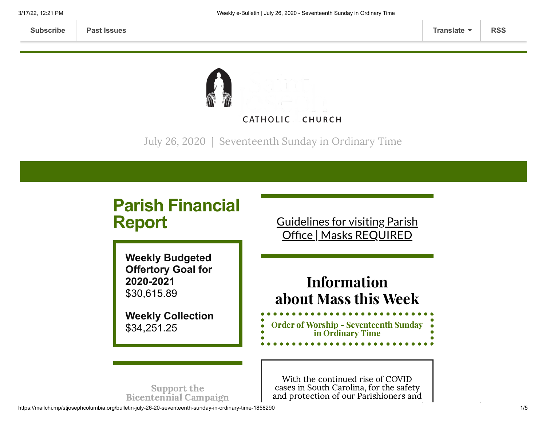

July 26, 2020 | Seventeenth Sunday in Ordinary Time

# **Parish Financial Report**

**Weekly Budgeted Offertory Goal for 2020-2021** \$30,615.89

**Weekly Collection** \$34,251.25

Guidelines for visiting Parish Office | Masks [REQUIRED](https://www.stjosephcolumbia.org/church-and-parish-office-hours)

## Information about Mass this Week

Order of Worship - [Seventeenth](https://84aadc19-53c5-40cc-90da-b6ef66a7e382.filesusr.com/ugd/2de225_36852f7e0a8c41fd9f8272583a67c759.pdf) Sunday in Ordinary Time

Support the [Bicentennial](https://www.stjosephcolumbia.org/bicentennial-campaign) Campaign

With the continued rise of COVID cases in South Carolina, for the safety and protection of our Parishioners and

https://mailchi.mp/stjosephcolumbia.org/bulletin-july-26-20-seventeenth-sunday-in-ordinary-time-1858290 1/5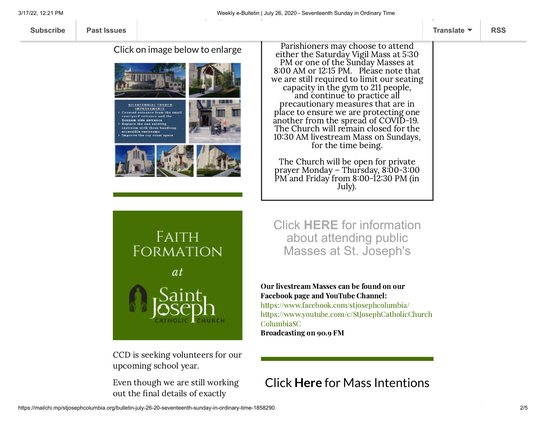Click on image below to enlarge



Parishioners may choose to attend either the Saturday Vigil Mass at 5:30 PM or one of the Sunday Masses at 8:00 AM or 12:15 PM. Please note that we are still required to limit our seating capacity in the gym to 211 people, and continue to practice all precautionary measures that are in place to ensure we are protecting one another from the spread of COVID-19. The Church will remain closed for the 1030 AM livestream Mass on Sundays, for the time being.

The Church will be open for private prayer Monday – Thursday, 8:00-3:00 PM and Friday from 8:00-12:30 PM (in July).



CCD is seeking volunteers for our upcoming school year.

Even though we are still working out the final details of exactly

Click **[HERE](https://www.stjosephcolumbia.org/resuming-public-masses)** for information about attending public Masses at St. Joseph's

#### Our livestream Masses can be found on our Facebook page and YouTube Channel:

<https://www.facebook.com/stjosephcolumbia/> [https://www.youtube.com/c/StJosephCatholicChurch](https://www.youtube.com/c/StJosephCatholicChurchColumbiaSC) ColumbiaSC

Broadcasting on 90.9 FM

## Click **Here** for [Mass Intentions](https://www.stjosephcolumbia.org/mass-intentions)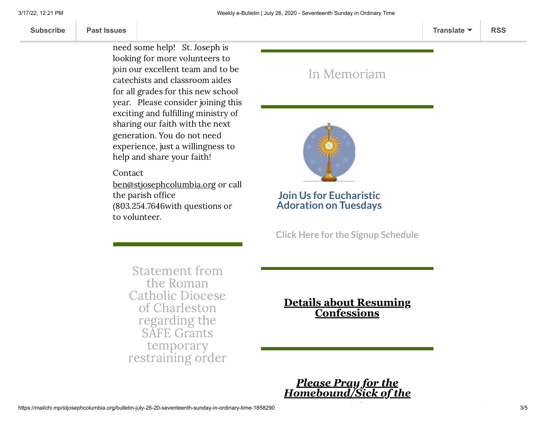**[Subscribe](http://eepurl.com/ded6Lz) [Past Issues](https://us9.campaign-archive.com/home/?u=7399f6b35c8ab775fb1714c3d&id=770b4a80d3) [Translate](javascript:;) [RSS](https://us9.campaign-archive.com/feed?u=7399f6b35c8ab775fb1714c3d&id=770b4a80d3)**

where  $\frac{1}{2}$  this upcoming  $\frac{1}{2}$  and  $\frac{1}{2}$  and  $\frac{1}{2}$  and  $\frac{1}{2}$  and  $\frac{1}{2}$  and  $\frac{1}{2}$  and  $\frac{1}{2}$  and  $\frac{1}{2}$  and  $\frac{1}{2}$  and  $\frac{1}{2}$  and  $\frac{1}{2}$  and  $\frac{1}{2}$  and  $\frac{1}{2}$  and  $\frac{1}{2}$ like we know we are going to

> need some help! St. Joseph is looking for more volunteers to join our excellent team and to be catechists and classroom aides for all grades for this new school year. Please consider joining this exciting and fulfilling ministry of sharing our faith with the next generation. You do not need experience, just a willingness to help and share your faith!

Contact

[ben@stjosephcolumbia.org](mailto:ben@stjosephcolumbia.org%C2%A0) or call the parish office (803.254.7646with questions or to volunteer.

### In [Memoriam](https://www.stjosephcolumbia.org/in-memoriam)



#### **Join Us for Eucharistic Adoration on Tuesdays**

**Click Here for the Signup [Schedule](https://www.stjosephcolumbia.org/copy-of-eucharistic-adoration-signu)**

Statement from the Roman Catholic Diocese of [Charleston](https://files.constantcontact.com/4eac7125301/bee1f41b-753e-497a-97c9-3699cd3506a4.pdf) regarding the SAFE Grants temporary restraining order

**[Details about Resuming](https://www.stjosephcolumbia.org/confessions) Confessions**

*Please Pray for the [Homebound/Sick of the](https://www.stjosephcolumbia.org/pray-for-the-homebound-sick-of-pari)*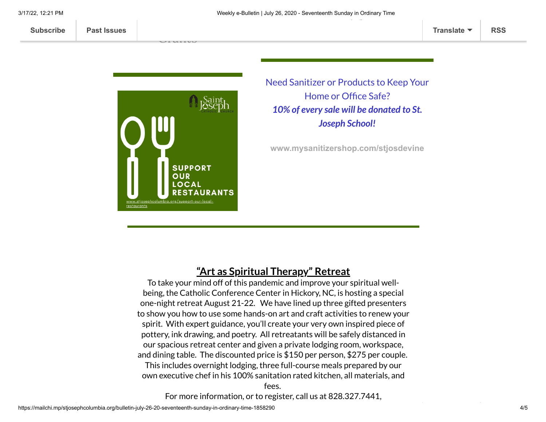

 $\overline{\phantom{a}}$ [Grants](https://files.constantcontact.com/4eac7125301/3aa931c4-db33-4c46-978b-30aedd96053f.pdf)

> Need Sanitizer or Products to Keep Your Home or Office Safe? *10% of every sale will be donated to St. Joseph School!*

**[www.mysanitizershop.com/stjosdevine](https://mcusercontent.com/7399f6b35c8ab775fb1714c3d/images/8dd9b4f6-8ee3-42ea-a5ab-52e57935aca3.png)**

### **"Art as Spiritual Therapy" Retreat**

To take your mind off of this pandemic and improve your spiritual wellbeing, the Catholic Conference Center in Hickory, NC, is hosting a special one-night retreat August 21-22. We have lined up three gifted presenters to show you how to use some hands-on art and craft activities to renew your spirit. With expert guidance, you'll create your very own inspired piece of pottery, ink drawing, and poetry. All retreatants will be safely distanced in our spacious retreat center and given a private lodging room, workspace, and dining table. The discounted price is \$150 per person, \$275 per couple.

This includes overnight lodging, three full-course meals prepared by our own executive chef in his 100% sanitation rated kitchen, all materials, and

fees.

For more information, or to register, call us at 828.327.7441,